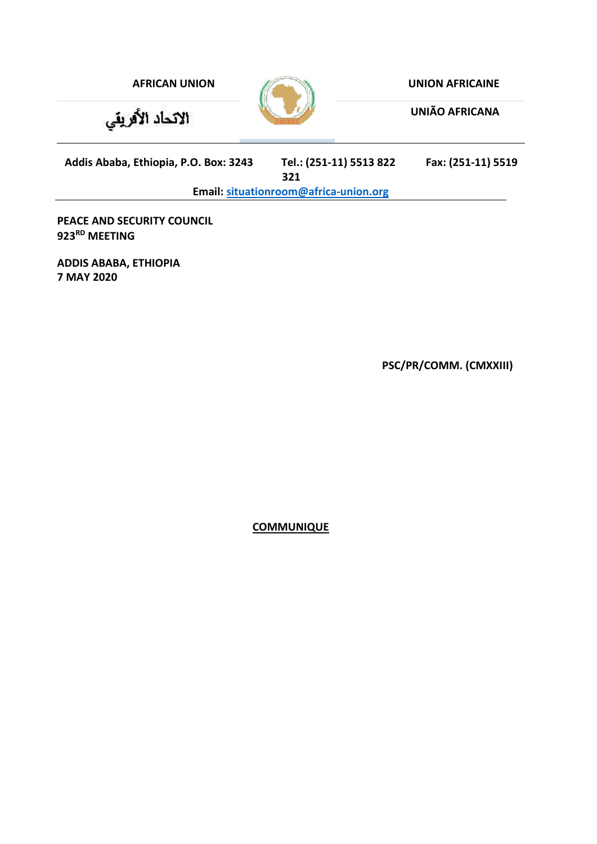

**UNIÃO AFRICANA**

**Addis Ababa, Ethiopia, P.O. Box: 3243 Tel.: (251-11) 5513 822 Fax: (251-11) 5519** 

الاتحاد الأفريقي

**321**

**Email: [situationroom@africa-union.org](mailto:situationroom@africa-union.org)**

**PEACE AND SECURITY COUNCIL 923RD MEETING**

**ADDIS ABABA, ETHIOPIA 7 MAY 2020**

**PSC/PR/COMM. (CMXXIII)**

**COMMUNIQUE**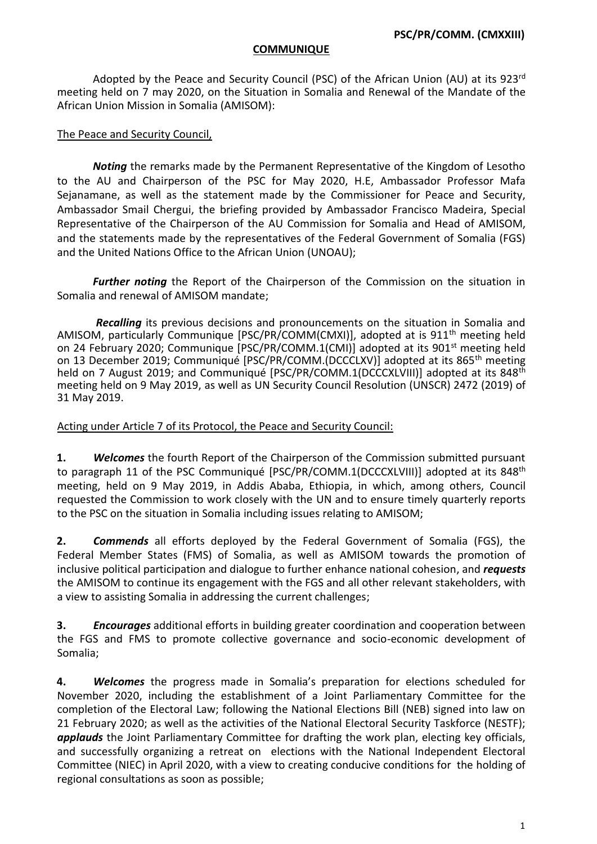#### **COMMUNIQUE**

Adopted by the Peace and Security Council (PSC) of the African Union (AU) at its 923<sup>rd</sup> meeting held on 7 may 2020, on the Situation in Somalia and Renewal of the Mandate of the African Union Mission in Somalia (AMISOM):

### The Peace and Security Council,

*Noting* the remarks made by the Permanent Representative of the Kingdom of Lesotho to the AU and Chairperson of the PSC for May 2020, H.E, Ambassador Professor Mafa Sejanamane, as well as the statement made by the Commissioner for Peace and Security, Ambassador Smail Chergui, the briefing provided by Ambassador Francisco Madeira, Special Representative of the Chairperson of the AU Commission for Somalia and Head of AMISOM, and the statements made by the representatives of the Federal Government of Somalia (FGS) and the United Nations Office to the African Union (UNOAU);

*Further noting* the Report of the Chairperson of the Commission on the situation in Somalia and renewal of AMISOM mandate;

*Recalling* its previous decisions and pronouncements on the situation in Somalia and AMISOM, particularly Communique [PSC/PR/COMM(CMXI)], adopted at is 911<sup>th</sup> meeting held on 24 February 2020; Communique [PSC/PR/COMM.1(CMI)] adopted at its 901st meeting held on 13 December 2019; Communiqué [PSC/PR/COMM.(DCCCLXV)] adopted at its 865th meeting held on 7 August 2019; and Communiqué  $[PSC/PR/COMM.1(DCCCXLVIII)]$  adopted at its 848<sup>th</sup> meeting held on 9 May 2019, as well as UN Security Council Resolution (UNSCR) 2472 (2019) of 31 May 2019.

### Acting under Article 7 of its Protocol, the Peace and Security Council:

**1.** *Welcomes* the fourth Report of the Chairperson of the Commission submitted pursuant to paragraph 11 of the PSC Communiqué  $[PSC/PR/COMM.1(DCCCXLVIII)]$  adopted at its 848<sup>th</sup> meeting, held on 9 May 2019, in Addis Ababa, Ethiopia, in which, among others, Council requested the Commission to work closely with the UN and to ensure timely quarterly reports to the PSC on the situation in Somalia including issues relating to AMISOM;

**2.** *Commends* all efforts deployed by the Federal Government of Somalia (FGS), the Federal Member States (FMS) of Somalia, as well as AMISOM towards the promotion of inclusive political participation and dialogue to further enhance national cohesion, and *requests* the AMISOM to continue its engagement with the FGS and all other relevant stakeholders, with a view to assisting Somalia in addressing the current challenges;

**3.** *Encourages* additional efforts in building greater coordination and cooperation between the FGS and FMS to promote collective governance and socio-economic development of Somalia;

**4.** *Welcomes* the progress made in Somalia's preparation for elections scheduled for November 2020, including the establishment of a Joint Parliamentary Committee for the completion of the Electoral Law; following the National Elections Bill (NEB) signed into law on 21 February 2020; as well as the activities of the National Electoral Security Taskforce (NESTF); *applauds* the Joint Parliamentary Committee for drafting the work plan, electing key officials, and successfully organizing a retreat on elections with the National Independent Electoral Committee (NIEC) in April 2020, with a view to creating conducive conditions for the holding of regional consultations as soon as possible;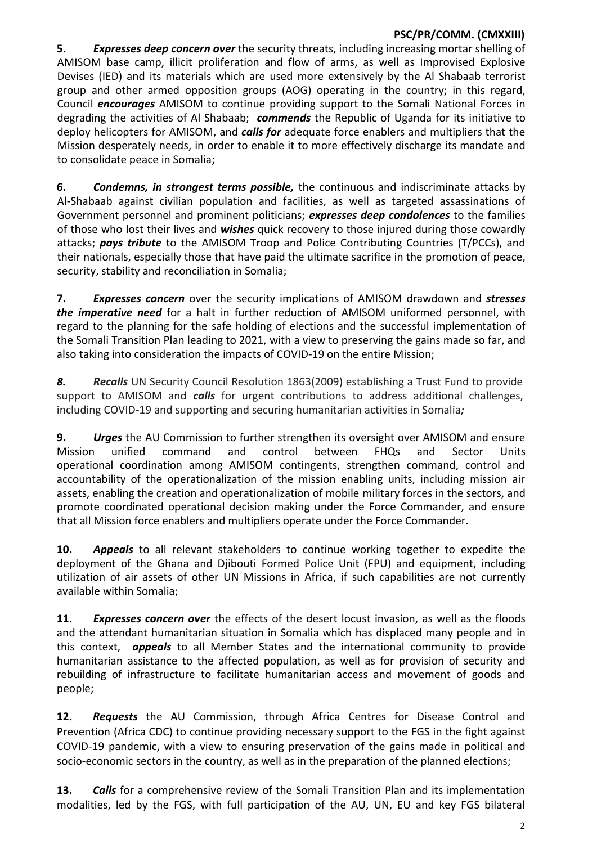# **PSC/PR/COMM. (CMXXIII)**

**5.** *Expresses deep concern over* the security threats, including increasing mortar shelling of AMISOM base camp, illicit proliferation and flow of arms, as well as Improvised Explosive Devises (IED) and its materials which are used more extensively by the Al Shabaab terrorist group and other armed opposition groups (AOG) operating in the country; in this regard, Council *encourages* AMISOM to continue providing support to the Somali National Forces in degrading the activities of Al Shabaab; *commends* the Republic of Uganda for its initiative to deploy helicopters for AMISOM, and *calls for* adequate force enablers and multipliers that the Mission desperately needs, in order to enable it to more effectively discharge its mandate and to consolidate peace in Somalia;

**6.** *Condemns, in strongest terms possible,* the continuous and indiscriminate attacks by Al-Shabaab against civilian population and facilities, as well as targeted assassinations of Government personnel and prominent politicians; *expresses deep condolences* to the families of those who lost their lives and *wishes* quick recovery to those injured during those cowardly attacks; *pays tribute* to the AMISOM Troop and Police Contributing Countries (T/PCCs), and their nationals, especially those that have paid the ultimate sacrifice in the promotion of peace, security, stability and reconciliation in Somalia;

**7.** *Expresses concern* over the security implications of AMISOM drawdown and *stresses the imperative need* for a halt in further reduction of AMISOM uniformed personnel, with regard to the planning for the safe holding of elections and the successful implementation of the Somali Transition Plan leading to 2021, with a view to preserving the gains made so far, and also taking into consideration the impacts of COVID-19 on the entire Mission;

**8. Recalls** UN Security Council Resolution 1863(2009) establishing a Trust Fund to provide support to AMISOM and *calls* for urgent contributions to address additional challenges, including COVID-19 and supporting and securing humanitarian activities in Somalia*;*

**9.** *Urges* the AU Commission to further strengthen its oversight over AMISOM and ensure Mission unified command and control between FHQs and Sector Units operational coordination among AMISOM contingents, strengthen command, control and accountability of the operationalization of the mission enabling units, including mission air assets, enabling the creation and operationalization of mobile military forces in the sectors, and promote coordinated operational decision making under the Force Commander, and ensure that all Mission force enablers and multipliers operate under the Force Commander.

**10.** *Appeals* to all relevant stakeholders to continue working together to expedite the deployment of the Ghana and Djibouti Formed Police Unit (FPU) and equipment, including utilization of air assets of other UN Missions in Africa, if such capabilities are not currently available within Somalia;

**11.** *Expresses concern over* the effects of the desert locust invasion, as well as the floods and the attendant humanitarian situation in Somalia which has displaced many people and in this context, *appeals* to all Member States and the international community to provide humanitarian assistance to the affected population, as well as for provision of security and rebuilding of infrastructure to facilitate humanitarian access and movement of goods and people;

**12.** *Requests* the AU Commission, through Africa Centres for Disease Control and Prevention (Africa CDC) to continue providing necessary support to the FGS in the fight against COVID-19 pandemic, with a view to ensuring preservation of the gains made in political and socio-economic sectors in the country, as well as in the preparation of the planned elections;

**13.** *Calls* for a comprehensive review of the Somali Transition Plan and its implementation modalities, led by the FGS, with full participation of the AU, UN, EU and key FGS bilateral